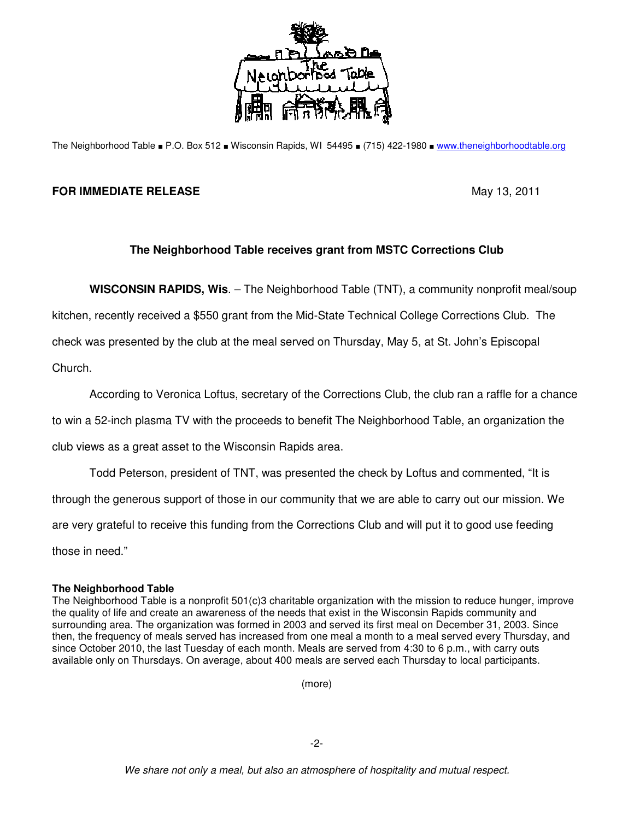

The Neighborhood Table ■ P.O. Box 512 ■ Wisconsin Rapids, WI 54495 ■ (715) 422-1980 ■ www.theneighborhoodtable.org

## **FOR IMMEDIATE RELEASE May 13, 2011**

## **The Neighborhood Table receives grant from MSTC Corrections Club**

**WISCONSIN RAPIDS, Wis**. – The Neighborhood Table (TNT), a community nonprofit meal/soup

kitchen, recently received a \$550 grant from the Mid-State Technical College Corrections Club. The

check was presented by the club at the meal served on Thursday, May 5, at St. John's Episcopal

Church.

According to Veronica Loftus, secretary of the Corrections Club, the club ran a raffle for a chance

to win a 52-inch plasma TV with the proceeds to benefit The Neighborhood Table, an organization the

club views as a great asset to the Wisconsin Rapids area.

Todd Peterson, president of TNT, was presented the check by Loftus and commented, "It is

through the generous support of those in our community that we are able to carry out our mission. We

are very grateful to receive this funding from the Corrections Club and will put it to good use feeding

those in need."

## **The Neighborhood Table**

The Neighborhood Table is a nonprofit 501(c)3 charitable organization with the mission to reduce hunger, improve the quality of life and create an awareness of the needs that exist in the Wisconsin Rapids community and surrounding area. The organization was formed in 2003 and served its first meal on December 31, 2003. Since then, the frequency of meals served has increased from one meal a month to a meal served every Thursday, and since October 2010, the last Tuesday of each month. Meals are served from 4:30 to 6 p.m., with carry outs available only on Thursdays. On average, about 400 meals are served each Thursday to local participants.

(more)

-2-